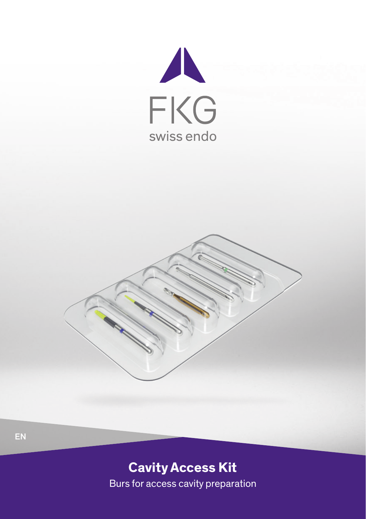



# **Cavity Access Kit** Burs for access cavity preparation